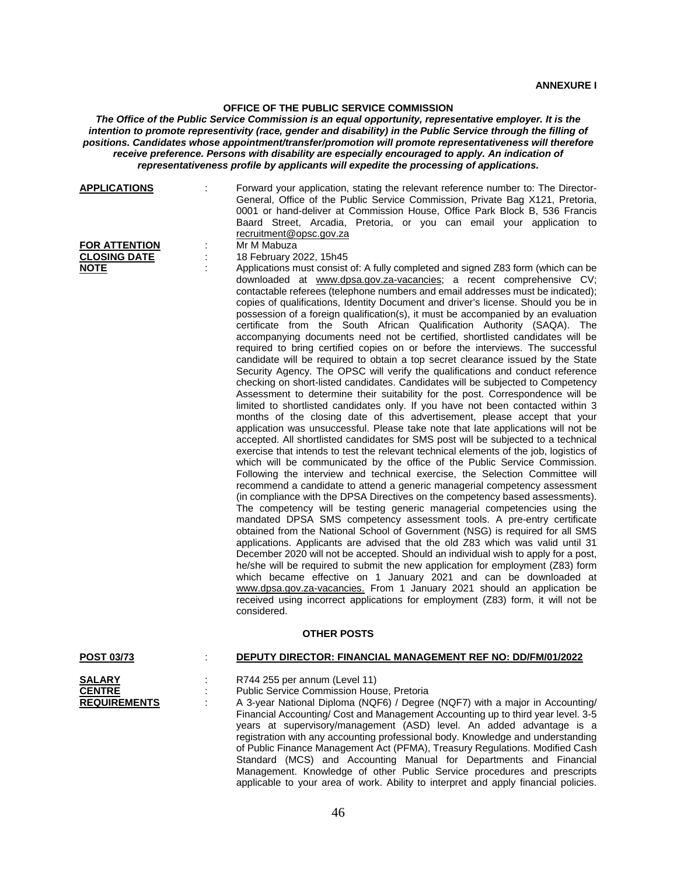## **OFFICE OF THE PUBLIC SERVICE COMMISSION**

*The Office of the Public Service Commission is an equal opportunity, representative employer. It is the intention to promote representivity (race, gender and disability) in the Public Service through the filling of positions. Candidates whose appointment/transfer/promotion will promote representativeness will therefore receive preference. Persons with disability are especially encouraged to apply. An indication of representativeness profile by applicants will expedite the processing of applications.*

| <b>APPLICATIONS</b>                                   | Forward your application, stating the relevant reference number to: The Director-<br>General, Office of the Public Service Commission, Private Bag X121, Pretoria,<br>0001 or hand-deliver at Commission House, Office Park Block B, 536 Francis<br>Baard Street, Arcadia, Pretoria, or you can email your application to<br>recruitment@opsc.gov.za                                                                                                                                                                                                                                                                                                                                                                                                                                                                                                                                                                                                                                                                                                                                                                                                                                                                                                                                                                                                                                                                                                                                                                                                                                                                                                                                                                                                                                                                                                                                                                                                                                                                                                                                                                                                                                                                                                                                                                                                                                                                                                                                                                               |
|-------------------------------------------------------|------------------------------------------------------------------------------------------------------------------------------------------------------------------------------------------------------------------------------------------------------------------------------------------------------------------------------------------------------------------------------------------------------------------------------------------------------------------------------------------------------------------------------------------------------------------------------------------------------------------------------------------------------------------------------------------------------------------------------------------------------------------------------------------------------------------------------------------------------------------------------------------------------------------------------------------------------------------------------------------------------------------------------------------------------------------------------------------------------------------------------------------------------------------------------------------------------------------------------------------------------------------------------------------------------------------------------------------------------------------------------------------------------------------------------------------------------------------------------------------------------------------------------------------------------------------------------------------------------------------------------------------------------------------------------------------------------------------------------------------------------------------------------------------------------------------------------------------------------------------------------------------------------------------------------------------------------------------------------------------------------------------------------------------------------------------------------------------------------------------------------------------------------------------------------------------------------------------------------------------------------------------------------------------------------------------------------------------------------------------------------------------------------------------------------------------------------------------------------------------------------------------------------------|
| <b>FOR ATTENTION</b>                                  | Mr M Mabuza                                                                                                                                                                                                                                                                                                                                                                                                                                                                                                                                                                                                                                                                                                                                                                                                                                                                                                                                                                                                                                                                                                                                                                                                                                                                                                                                                                                                                                                                                                                                                                                                                                                                                                                                                                                                                                                                                                                                                                                                                                                                                                                                                                                                                                                                                                                                                                                                                                                                                                                        |
| <b>CLOSING DATE</b>                                   | 18 February 2022, 15h45                                                                                                                                                                                                                                                                                                                                                                                                                                                                                                                                                                                                                                                                                                                                                                                                                                                                                                                                                                                                                                                                                                                                                                                                                                                                                                                                                                                                                                                                                                                                                                                                                                                                                                                                                                                                                                                                                                                                                                                                                                                                                                                                                                                                                                                                                                                                                                                                                                                                                                            |
| <b>NOTE</b>                                           | Applications must consist of: A fully completed and signed Z83 form (which can be<br>downloaded at www.dpsa.gov.za-vacancies; a recent comprehensive CV;<br>contactable referees (telephone numbers and email addresses must be indicated);<br>copies of qualifications, Identity Document and driver's license. Should you be in<br>possession of a foreign qualification(s), it must be accompanied by an evaluation<br>certificate from the South African Qualification Authority (SAQA). The<br>accompanying documents need not be certified, shortlisted candidates will be<br>required to bring certified copies on or before the interviews. The successful<br>candidate will be required to obtain a top secret clearance issued by the State<br>Security Agency. The OPSC will verify the qualifications and conduct reference<br>checking on short-listed candidates. Candidates will be subjected to Competency<br>Assessment to determine their suitability for the post. Correspondence will be<br>limited to shortlisted candidates only. If you have not been contacted within 3<br>months of the closing date of this advertisement, please accept that your<br>application was unsuccessful. Please take note that late applications will not be<br>accepted. All shortlisted candidates for SMS post will be subjected to a technical<br>exercise that intends to test the relevant technical elements of the job, logistics of<br>which will be communicated by the office of the Public Service Commission.<br>Following the interview and technical exercise, the Selection Committee will<br>recommend a candidate to attend a generic managerial competency assessment<br>(in compliance with the DPSA Directives on the competency based assessments).<br>The competency will be testing generic managerial competencies using the<br>mandated DPSA SMS competency assessment tools. A pre-entry certificate<br>obtained from the National School of Government (NSG) is required for all SMS<br>applications. Applicants are advised that the old Z83 which was valid until 31<br>December 2020 will not be accepted. Should an individual wish to apply for a post,<br>he/she will be required to submit the new application for employment (Z83) form<br>which became effective on 1 January 2021 and can be downloaded at<br>www.dpsa.gov.za-vacancies. From 1 January 2021 should an application be<br>received using incorrect applications for employment (Z83) form, it will not be<br>considered. |
|                                                       | <b>OTHER POSTS</b>                                                                                                                                                                                                                                                                                                                                                                                                                                                                                                                                                                                                                                                                                                                                                                                                                                                                                                                                                                                                                                                                                                                                                                                                                                                                                                                                                                                                                                                                                                                                                                                                                                                                                                                                                                                                                                                                                                                                                                                                                                                                                                                                                                                                                                                                                                                                                                                                                                                                                                                 |
| <b>POST 03/73</b>                                     | DEPUTY DIRECTOR: FINANCIAL MANAGEMENT REF NO: DD/FM/01/2022                                                                                                                                                                                                                                                                                                                                                                                                                                                                                                                                                                                                                                                                                                                                                                                                                                                                                                                                                                                                                                                                                                                                                                                                                                                                                                                                                                                                                                                                                                                                                                                                                                                                                                                                                                                                                                                                                                                                                                                                                                                                                                                                                                                                                                                                                                                                                                                                                                                                        |
| <b>SALARY</b><br><b>CENTRE</b><br><b>REQUIREMENTS</b> | R744 255 per annum (Level 11)<br>Public Service Commission House, Pretoria<br>A 3-year National Diploma (NQF6) / Degree (NQF7) with a major in Accounting/<br>Financial Accounting/ Cost and Management Accounting up to third year level. 3-5<br>years at supervisory/management (ASD) level. An added advantage is a<br>registration with any accounting professional body. Knowledge and understanding<br>of Public Finance Management Act (PFMA), Treasury Regulations. Modified Cash<br>Standard (MCS) and Accounting Manual for Departments and Financial<br>Management. Knowledge of other Public Service procedures and prescripts                                                                                                                                                                                                                                                                                                                                                                                                                                                                                                                                                                                                                                                                                                                                                                                                                                                                                                                                                                                                                                                                                                                                                                                                                                                                                                                                                                                                                                                                                                                                                                                                                                                                                                                                                                                                                                                                                         |

applicable to your area of work. Ability to interpret and apply financial policies.